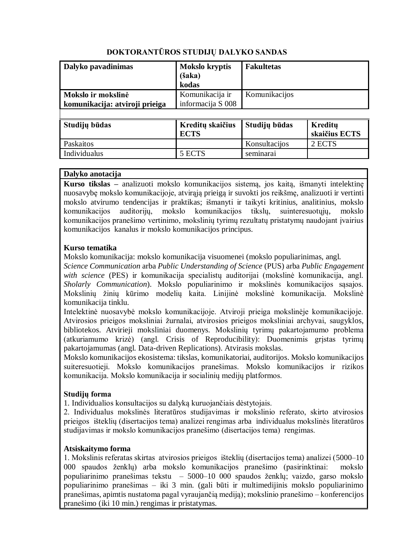| Dalyko pavadinimas             | <b>Mokslo kryptis</b><br>( <b>šaka</b> )<br>kodas | <b>Fakultetas</b> |
|--------------------------------|---------------------------------------------------|-------------------|
| Mokslo ir mokslinė             | Komunikacija ir                                   | Komunikacijos     |
| komunikacija: atviroji prieiga | informacija S 008                                 |                   |
|                                |                                                   |                   |

# **DOKTORANTŪROS STUDIJŲ DALYKO SANDAS**

| Studijų būdas | Kreditų skaičius<br><b>ECTS</b> | Studijų būdas | Kreditu<br>skaičius ECTS |
|---------------|---------------------------------|---------------|--------------------------|
| Paskaitos     |                                 | Konsultacijos | 2 ECTS                   |
| Individualus  | 5 ECTS                          | seminarai     |                          |

## **Dalyko anotacija**

**Kurso tikslas –** analizuoti mokslo komunikacijos sistemą, jos kaitą, išmanyti intelektinę nuosavybę mokslo komunikacijoje, atvirąją prieigą ir suvokti jos reikšmę, analizuoti ir vertinti mokslo atvirumo tendencijas ir praktikas; išmanyti ir taikyti kritinius, analitinius, mokslo komunikacijos auditorijų, mokslo komunikacijos tikslų, suinteresuotųjų, mokslo komunikacijos pranešimo vertinimo, mokslinių tyrimų rezultatų pristatymų naudojant įvairius komunikacijos kanalus ir mokslo komunikacijos principus.

## **Kurso tematika**

Mokslo komunikacija: mokslo komunikacija visuomenei (mokslo populiarinimas, angl.

*Science Communication* arba *Public Understanding of Science* (PUS) arba *Public Engagement with science* (PES) ir komunikacija specialistų auditorijai (mokslinė komunikacija, angl. *Sholarly Communication*). Mokslo populiarinimo ir mokslinės komunikacijos sąsajos. Mokslinių žinių kūrimo modelių kaita. Linijinė mokslinė komunikacija. Mokslinė komunikacija tinklu.

Intelektinė nuosavybė mokslo komunikacijoje. Atviroji prieiga mokslinėje komunikacijoje. Atvirosios prieigos moksliniai žurnalai, atvirosios prieigos moksliniai archyvai, saugyklos, bibliotekos. Atvirieji moksliniai duomenys. Mokslinių tyrimų pakartojamumo problema (atkuriamumo krizė) (angl. Crisis of Reproducibility): Duomenimis grįstas tyrimų pakartojamumas (angl. Data-driven Replications). Atvirasis mokslas.

Mokslo komunikacijos ekosistema: tikslas, komunikatoriai, auditorijos. Mokslo komunikacijos suiteresuotieji. Mokslo komunikacijos pranešimas. Mokslo komunikacijos ir rizikos komunikacija. Mokslo komunikacija ir socialinių medijų platformos.

## **Studijų forma**

1. Individualios konsultacijos su dalyką kuruojančiais dėstytojais.

2. Individualus mokslinės literatūros studijavimas ir mokslinio referato, skirto atvirosios prieigos išteklių (disertacijos tema) analizei rengimas arba individualus mokslinės literatūros studijavimas ir mokslo komunikacijos pranešimo (disertacijos tema) rengimas.

## **Atsiskaitymo forma**

1. Mokslinis referatas skirtas atvirosios prieigos išteklių (disertacijos tema) analizei (5000–10 000 spaudos ženklų) arba mokslo komunikacijos pranešimo (pasirinktinai: mokslo populiarinimo pranešimas tekstu – 5000–10 000 spaudos ženklų; vaizdo, garso mokslo populiarinimo pranešimas – iki 3 min. (gali būti ir multimedijinis mokslo populiarinimo pranešimas, apimtis nustatoma pagal vyraujančią mediją); mokslinio pranešimo – konferencijos pranešimo (iki 10 min.) rengimas ir pristatymas.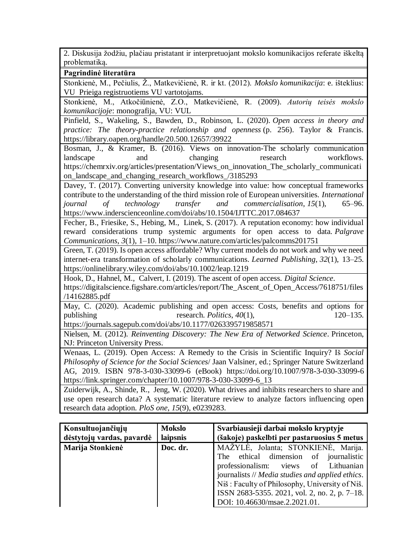2. Diskusija žodžiu, plačiau pristatant ir interpretuojant mokslo komunikacijos referate iškeltą problematiką.

**Pagrindinė literatūra**

Stonkienė, M., Pečiulis, Ž., Matkevičienė, R. ir kt. (2012). *Mokslo komunikacija*: e. išteklius: VU Prieiga registruotiems VU vartotojams.

Stonkienė, M., Atkočiūnienė, Z.O., Matkevičienė, R. (2009). *Autorių teisės mokslo komunikacijoje*: monografija, VU: VUL

Pinfield, S., Wakeling, S., Bawden, D., Robinson, L. (2020). *Open access in theory and practice: The theory-practice relationship and openness* (p. 256). Taylor & Francis. https://library.oapen.org/handle/20.500.12657/39922

Bosman, J., & Kramer, B. (2016). Views on innovation-The scholarly communication landscape and changing research workflows. https://chemrxiv.org/articles/presentation/Views\_on\_innovation\_The\_scholarly\_communicati on\_landscape\_and\_changing\_research\_workflows\_/3185293

Davey, T. (2017). Converting university knowledge into value: how conceptual frameworks contribute to the understanding of the third mission role of European universities. *International journal of technology transfer and commercialisation*, *15*(1), 65–96. https://www.inderscienceonline.com/doi/abs/10.1504/IJTTC.2017.084637

Fecher, B., Friesike, S., Hebing, M., Linek, S. (2017). A reputation economy: how individual reward considerations trump systemic arguments for open access to data. *Palgrave Communications*, *3*(1), 1–10. https://www.nature.com/articles/palcomms201751

Green, T. (2019). Is open access affordable? Why current models do not work and why we need internet‐era transformation of scholarly communications. *Learned Publishing*, *32*(1), 13–25. https://onlinelibrary.wiley.com/doi/abs/10.1002/leap.1219

Hook, D., Hahnel, M., Calvert, I. (2019). The ascent of open access. *Digital Science*.

https://digitalscience.figshare.com/articles/report/The Ascent of Open Access/7618751/files /14162885.pdf

May, C. (2020). Academic publishing and open access: Costs, benefits and options for publishing research. *Politics*, *40*(1), 120–135.

https://journals.sagepub.com/doi/abs/10.1177/0263395719858571

Nielsen, M. (2012). *Reinventing Discovery: The New Era of Networked Science*. Princeton, NJ: Princeton University Press.

Wenaas, L. (2019). Open Access: A Remedy to the Crisis in Scientific Inquiry? Iš *Social Philosophy of Science for the Social Sciences*/ Jaan Valsiner, ed.; Springer Nature Switzerland AG, 2019. ISBN 978-3-030-33099-6 (eBook) https://doi.org/10.1007/978-3-030-33099-6 https://link.springer.com/chapter/10.1007/978-3-030-33099-6\_13

Zuiderwijk, A., Shinde, R., Jeng, W. (2020). What drives and inhibits researchers to share and use open research data? A systematic literature review to analyze factors influencing open research data adoption. *PloS one*, *15*(9), e0239283.

| Konsultuojančiųjų<br>dėstytojų vardas, pavardė | <b>Mokslo</b><br>laipsnis | Svarbiausieji darbai mokslo kryptyje<br>(šakoje) paskelbti per pastaruosius 5 metus |
|------------------------------------------------|---------------------------|-------------------------------------------------------------------------------------|
| Marija Stonkienė                               | Doc. dr.                  | MAŽYLĖ, Jolanta; STONKIENĖ, Marija.                                                 |
|                                                |                           | The ethical dimension of journalistic                                               |
|                                                |                           | professionalism: views of Lithuanian                                                |
|                                                |                           | journalists // Media studies and applied ethics.                                    |
|                                                |                           | Niš: Faculty of Philosophy, University of Niš.                                      |
|                                                |                           | ISSN 2683-5355. 2021, vol. 2, no. 2, p. 7–18.                                       |
|                                                |                           | DOI: 10.46630/msae.2.2021.01.                                                       |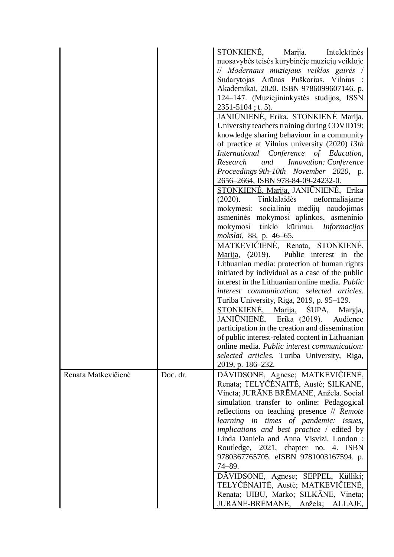|                     |          | STONKIENĖ,<br>Marija.<br>Intelektinės<br>nuosavybės teisės kūrybinėje muziejų veikloje<br>// Modernaus muziejaus veiklos gairės /<br>Sudarytojas Arūnas Puškorius. Vilnius :<br>Akademikai, 2020. ISBN 9786099607146. p.<br>124–147. (Muziejininkystės studijos, ISSN<br>$2351 - 5104$ ; t. 5).<br>JANIŪNIENĖ, Erika, STONKIENĖ Marija.<br>University teachers training during COVID19:<br>knowledge sharing behaviour in a community<br>of practice at Vilnius university (2020) 13th<br>International Conference of Education,                                                                                                                                                                                                                                                                                                                                                      |
|---------------------|----------|---------------------------------------------------------------------------------------------------------------------------------------------------------------------------------------------------------------------------------------------------------------------------------------------------------------------------------------------------------------------------------------------------------------------------------------------------------------------------------------------------------------------------------------------------------------------------------------------------------------------------------------------------------------------------------------------------------------------------------------------------------------------------------------------------------------------------------------------------------------------------------------|
|                     |          | Research<br>and<br>Innovation: Conference<br>Proceedings 9th-10th November 2020, p.<br>2656–2664, ISBN 978-84-09-24232-0.                                                                                                                                                                                                                                                                                                                                                                                                                                                                                                                                                                                                                                                                                                                                                             |
|                     |          | <b>STONKIENĖ, Marija, JANIŪNIENĖ, Erika</b><br>(2020).<br>Tinklalaidės<br>neformaliajame<br>mokymesi: socialinių medijų naudojimas<br>asmeninės mokymosi aplinkos, asmeninio<br>tinklo kūrimui. Informacijos<br>mokymosi<br>mokslai, 88, p. 46–65.<br>MATKEVICIENE, Renata, STONKIENE,<br><u>Marija</u> , (2019).<br>Public interest in the<br>Lithuanian media: protection of human rights<br>initiated by individual as a case of the public<br>interest in the Lithuanian online media. Public<br>interest communication: selected articles.<br>Turiba University, Riga, 2019, p. 95-129.<br>STONKIENE,<br>SUPA,<br>Marija,<br>Maryja,<br>JANIŪNIENĖ, Erika (2019). Audience<br>participation in the creation and dissemination<br>of public interest-related content in Lithuanian<br>online media. Public interest communication:<br>selected articles. Turiba University, Riga, |
| Renata Matkevičienė | Doc. dr. | 2019, p. 186–232.<br>DĀVIDSONE, Agnese; MATKEVIČIENĖ,<br>Renata; TELYČĖNAITĖ, Austė; SILKANE,<br>Vineta; JURĀNE BRĒMANE, Anžela. Social<br>simulation transfer to online: Pedagogical<br>reflections on teaching presence // Remote<br>learning in times of pandemic: issues,                                                                                                                                                                                                                                                                                                                                                                                                                                                                                                                                                                                                         |
|                     |          | implications and best practice / edited by<br>Linda Daniela and Anna Visvizi. London:<br>Routledge, 2021, chapter no. 4. ISBN<br>9780367765705. eISBN 9781003167594. p.<br>$74 - 89.$                                                                                                                                                                                                                                                                                                                                                                                                                                                                                                                                                                                                                                                                                                 |
|                     |          | DĀVIDSONE, Agnese; SEPPEL, Külliki;<br>TELYČĖNAITĖ, Austė; MATKEVIČIENĖ,<br>Renata; UIBU, Marko; SILKĀNE, Vineta;<br>JURĀNE-BRĒMANE,<br>Anžela;<br>ALLAJE,                                                                                                                                                                                                                                                                                                                                                                                                                                                                                                                                                                                                                                                                                                                            |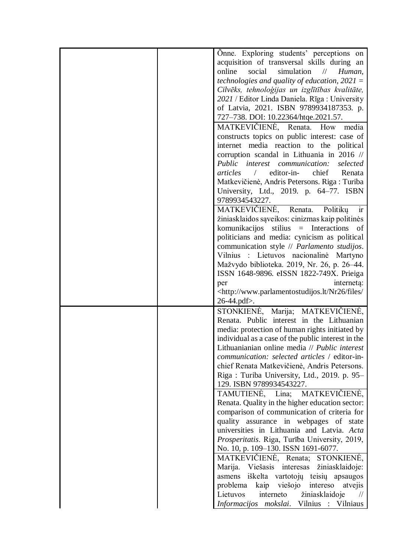| Onne. Exploring students' perceptions on                                                          |
|---------------------------------------------------------------------------------------------------|
| acquisition of transversal skills during an                                                       |
| online<br>social<br>simulation<br>$\frac{1}{2}$<br>Human,                                         |
| technologies and quality of education, $2021 =$                                                   |
| Cilvēks, tehnoloģijas un izglītības kvalitāte,                                                    |
| 2021 / Editor Linda Daniela. Rīga : University                                                    |
| of Latvia, 2021. ISBN 9789934187353. p.                                                           |
| 727-738. DOI: 10.22364/htqe.2021.57.                                                              |
| MATKEVIČIENĖ, Renata. How<br>media                                                                |
| constructs topics on public interest: case of                                                     |
| internet media reaction to the political                                                          |
| corruption scandal in Lithuania in 2016 //                                                        |
| Public interest communication:<br>selected                                                        |
| editor-in-<br>chief<br>articles<br>Renata<br>$\sqrt{2}$                                           |
|                                                                                                   |
| Matkevičienė, Andris Petersons. Riga: Turiba                                                      |
| University, Ltd., 2019. p. 64-77. ISBN                                                            |
| 9789934543227.<br>MATKEVIČIENĖ, Renata.<br>Politikų                                               |
| ir                                                                                                |
| žiniasklaidos sąveikos: cinizmas kaip politinės                                                   |
| komunikacijos stilius = Interactions of                                                           |
| politicians and media: cynicism as political                                                      |
| communication style // Parlamento studijos.                                                       |
| Vilnius : Lietuvos nacionalinė Martyno                                                            |
| Mažvydo biblioteka. 2019, Nr. 26, p. 26–44.                                                       |
| ISSN 1648-9896. eISSN 1822-749X. Prieiga                                                          |
| internetą:<br>per                                                                                 |
| <http: <br="" files="" nr26="" www.parlamentostudijos.lt=""><math>26 - 44</math>.pdf&gt;.</http:> |
|                                                                                                   |
| STONKIENĖ, Marija; MATKEVIČIENĖ,                                                                  |
| Renata. Public interest in the Lithuanian                                                         |
| media: protection of human rights initiated by                                                    |
| individual as a case of the public interest in the                                                |
| Lithuanianian online media // Public interest                                                     |
| communication: selected articles / editor-in-                                                     |
| chief Renata Matkevičienė, Andris Petersons.                                                      |
| Riga: Turiba University, Ltd., 2019. p. 95-                                                       |
| 129. ISBN 9789934543227.                                                                          |
| MATKEVIČIENĖ,<br>TAMUTIENE, Lina;                                                                 |
| Renata. Quality in the higher education sector:                                                   |
| comparison of communication of criteria for                                                       |
| quality assurance in webpages of state                                                            |
| universities in Lithuania and Latvia. Acta                                                        |
| Prosperitatis. Riga, Turība University, 2019,                                                     |
| No. 10, p. 109-130. ISSN 1691-6077.                                                               |
| MATKEVIČIENĖ, Renata; STONKIENĖ,                                                                  |
| Marija. Viešasis interesas žiniasklaidoje:                                                        |
| iškelta vartotojų teisių apsaugos<br>asmens                                                       |
| problema<br>kaip viešojo intereso<br>atvejis                                                      |
| Lietuvos<br>interneto<br>žiniasklaidoje<br>$\frac{1}{2}$                                          |
| Informacijos mokslai. Vilnius : Vilniaus                                                          |